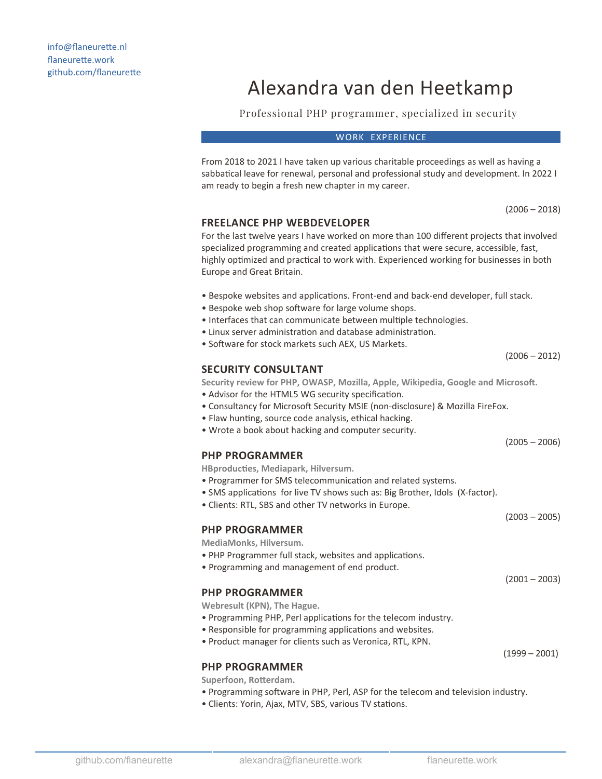# Alexandra van den Heetkamp

Professional PHP programmer, specialized in security

#### WORK EXPERIENCE

From 2018 to 2021 I have taken up various charitable proceedings as well as having a sabbatical leave for renewal, personal and professional study and development. In 2022 I am ready to begin a fresh new chapter in my career.

(2006 – 2018)

 $(2006 - 2012)$ 

# **FREELANCE PHP WEBDEVELOPER**

For the last twelve years I have worked on more than 100 different projects that involved specialized programming and created applications that were secure, accessible, fast, highly optimized and practical to work with. Experienced working for businesses in both Europe and Great Britain.

- Bespoke websites and applications. Front-end and back-end developer, full stack.
- Bespoke web shop software for large volume shops.
- Interfaces that can communicate between multiple technologies.
- Linux server administration and database administration.
- Software for stock markets such AEX, US Markets.

## **SECURITY CONSULTANT**

**Security review for PHP, OWASP, Mozilla, Apple, Wikipedia, Google and Microsoft.**

- Advisor for the HTML5 WG security specification.
- Consultancy for Microsoft Security MSIE (non-disclosure) & Mozilla FireFox.
- Flaw hunting, source code analysis, ethical hacking.
- Wrote a book about hacking and computer security.

## **PHP PROGRAMMER**

**HBproducties, Mediapark, Hilversum.**

- Programmer for SMS telecommunication and related systems.
- SMS applications for live TV shows such as: Big Brother, Idols (X-factor).
- Clients: RTL, SBS and other TV networks in Europe.

 $(2003 - 2005)$ 

 $(2001 - 2003)$ 

 $(2005 - 2006)$ 

# **PHP PROGRAMMER**

**MediaMonks, Hilversum.**

- PHP Programmer full stack, websites and applications.
- Programming and management of end product.

# **PHP PROGRAMMER**

**Webresult (KPN), The Hague.**

- Programming PHP, Perl applications for the telecom industry.
- Responsible for programming applications and websites.
- Product manager for clients such as Veronica, RTL, KPN.

#### (1999 – 2001)

## **PHP PROGRAMMER**

**Superfoon, Rotterdam.**

- Programming software in PHP, Perl, ASP for the telecom and television industry.
- Clients: Yorin, Ajax, MTV, SBS, various TV stations.